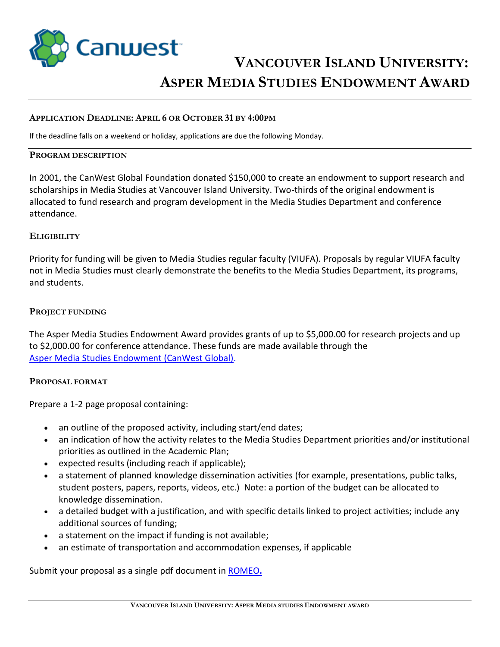

# **VANCOUVER ISLAND UNIVERSITY: ASPER MEDIA STUDIES ENDOWMENT AWARD**

#### **APPLICATION DEADLINE: APRIL 6 OR OCTOBER 31 BY 4:00PM**

If the deadline falls on a weekend or holiday, applications are due the following Monday.

#### **PROGRAM DESCRIPTION**

In 2001, the CanWest Global Foundation donated \$150,000 to create an endowment to support research and scholarships in Media Studies at Vancouver Island University. Two-thirds of the original endowment is allocated to fund research and program development in the Media Studies Department and conference attendance.

### **ELIGIBILITY**

Priority for funding will be given to Media Studies regular faculty (VIUFA). Proposals by regular VIUFA faculty not in Media Studies must clearly demonstrate the benefits to the Media Studies Department, its programs, and students.

### **PROJECT FUNDING**

The Asper Media Studies Endowment Award provides grants of up to \$5,000.00 for research projects and up to \$2,000.00 for conference attendance. These funds are made available through the [Asper Media Studies Endowment \(CanWest Global\).](https://www.viu.ca/news/canwest-global-gift-supports-media-studies-malaspina)

#### **PROPOSAL FORMAT**

Prepare a 1-2 page proposal containing:

- an outline of the proposed activity, including start/end dates;
- an indication of how the activity relates to the Media Studies Department priorities and/or institutional priorities as outlined in the Academic Plan;
- expected results (including reach if applicable);
- a statement of planned knowledge dissemination activities (for example, presentations, public talks, student posters, papers, reports, videos, etc.) Note: a portion of the budget can be allocated to knowledge dissemination.
- a detailed budget with a justification, and with specific details linked to project activities; include any additional sources of funding;
- a statement on the impact if funding is not available;
- an estimate of transportation and accommodation expenses, if applicable

Submit your proposal as a single pdf document in [ROMEO](https://research.viu.ca/romeo)**.**